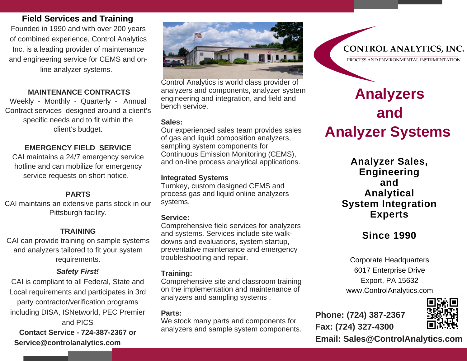## **Field Services and Training**

Founded in 1990 and with over 200 years of combined experience, Control Analytics Inc. is a leading provider of maintenance and engineering service for CEMS and online analyzer systems.

## **MAINTENANCE CONTRACTS**

Weekly - Monthly - Quarterly - Annual Contract services designed around a client's specific needs and to fit within the client's budget.

## **EMERGENCY FIELD SERVICE**

CAI maintains a 24/7 emergency service hotline and can mobilize for emergency service requests on short notice.

#### **PARTS**

CAI maintains an extensive parts stock in our Pittsburgh facility.

#### **TRAINING**

CAI can provide training on sample systems and analyzers tailored to fit your system requirements.

# *Safety First!*

CAI is compliant to all Federal, State and Local requirements and participates in 3rd party contractor/verification programs including DISA, ISNetworld, PEC Premier and PICS **Contact Service - 724-387-2367 or Service@controlanalytics.com** 



Control Analytics is world class provider of analyzers and components, analyzer system engineering and integration, and field and bench service.

#### **Sales:**

Our experienced sales team provides sales of gas and liquid composition analyzers, sampling system components for Continuous Emission Monitoring (CEMS), and on-line process analytical applications.

#### **Integrated Systems**

Turnkey, custom designed CEMS and process gas and liquid online analyzers systems.

#### **Service:**

Comprehensive field services for analyzers and systems. Services include site walkdowns and evaluations, system startup, preventative maintenance and emergency troubleshooting and repair.

#### **Training:**

Comprehensive site and classroom training on the implementation and maintenance of analyzers and sampling systems .

#### **Parts:**

We stock many parts and components for analyzers and sample system components.

# **Analyzers and Analyzer Systems**

**Analyzer Sales, Engineering and Analytical System Integration Experts** 

# **Since 1990**

6017 Enterprise Drive Export, PA 15632 www.ControlAnalytics.com

**Phone: (724) 387-2367 Fax: (724) 327-4300** 



**Email: Sales@ControlAnalytics.com**